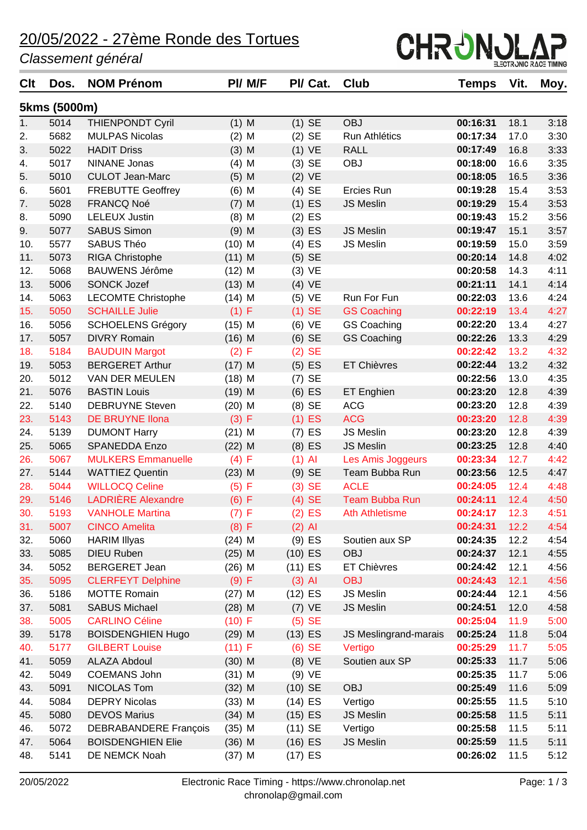### 20/05/2022 - 27ème Ronde des Tortues

#### *Classement général*



| Clt | Dos.         | <b>NOM Prénom</b>            | PI/ M/F  | PI/ Cat.  | Club                  | Temps    | Vit. | Moy. |
|-----|--------------|------------------------------|----------|-----------|-----------------------|----------|------|------|
|     | 5kms (5000m) |                              |          |           |                       |          |      |      |
| 1.  | 5014         | <b>THIENPONDT Cyril</b>      | $(1)$ M  | $(1)$ SE  | <b>OBJ</b>            | 00:16:31 | 18.1 | 3:18 |
| 2.  | 5682         | <b>MULPAS Nicolas</b>        | $(2)$ M  | $(2)$ SE  | Run Athlétics         | 00:17:34 | 17.0 | 3:30 |
| 3.  | 5022         | <b>HADIT Driss</b>           | $(3)$ M  | $(1)$ VE  | <b>RALL</b>           | 00:17:49 | 16.8 | 3:33 |
| 4.  | 5017         | <b>NINANE Jonas</b>          | $(4)$ M  | $(3)$ SE  | <b>OBJ</b>            | 00:18:00 | 16.6 | 3:35 |
| 5.  | 5010         | <b>CULOT Jean-Marc</b>       | $(5)$ M  | $(2)$ VE  |                       | 00:18:05 | 16.5 | 3:36 |
| 6.  | 5601         | <b>FREBUTTE Geoffrey</b>     | $(6)$ M  | (4) SE    | Ercies Run            | 00:19:28 | 15.4 | 3:53 |
| 7.  | 5028         | FRANCQ Noé                   | $(7)$ M  | $(1)$ ES  | <b>JS Meslin</b>      | 00:19:29 | 15.4 | 3:53 |
| 8.  | 5090         | <b>LELEUX Justin</b>         | $(8)$ M  | $(2)$ ES  |                       | 00:19:43 | 15.2 | 3:56 |
| 9.  | 5077         | <b>SABUS Simon</b>           | $(9)$ M  | $(3)$ ES  | <b>JS Meslin</b>      | 00:19:47 | 15.1 | 3:57 |
| 10. | 5577         | SABUS Théo                   | $(10)$ M | $(4)$ ES  | JS Meslin             | 00:19:59 | 15.0 | 3:59 |
| 11. | 5073         | RIGA Christophe              | $(11)$ M | $(5)$ SE  |                       | 00:20:14 | 14.8 | 4:02 |
| 12. | 5068         | <b>BAUWENS Jérôme</b>        | $(12)$ M | $(3)$ VE  |                       | 00:20:58 | 14.3 | 4:11 |
| 13. | 5006         | <b>SONCK Jozef</b>           | $(13)$ M | (4) VE    |                       | 00:21:11 | 14.1 | 4:14 |
| 14. | 5063         | <b>LECOMTE Christophe</b>    | $(14)$ M | $(5)$ VE  | Run For Fun           | 00:22:03 | 13.6 | 4:24 |
| 15. | 5050         | <b>SCHAILLE Julie</b>        | (1) F    | $(1)$ SE  | <b>GS Coaching</b>    | 00:22:19 | 13.4 | 4:27 |
| 16. | 5056         | <b>SCHOELENS Grégory</b>     | $(15)$ M | (6) VE    | <b>GS Coaching</b>    | 00:22:20 | 13.4 | 4:27 |
| 17. | 5057         | <b>DIVRY Romain</b>          | $(16)$ M | $(6)$ SE  | <b>GS Coaching</b>    | 00:22:26 | 13.3 | 4:29 |
| 18. | 5184         | <b>BAUDUIN Margot</b>        | (2) F    | $(2)$ SE  |                       | 00:22:42 | 13.2 | 4:32 |
| 19. | 5053         | <b>BERGERET Arthur</b>       | $(17)$ M | $(5)$ ES  | <b>ET Chièvres</b>    | 00:22:44 | 13.2 | 4:32 |
| 20. | 5012         | VAN DER MEULEN               | $(18)$ M | (7) SE    |                       | 00:22:56 | 13.0 | 4:35 |
| 21. | 5076         | <b>BASTIN Louis</b>          | $(19)$ M | $(6)$ ES  | ET Enghien            | 00:23:20 | 12.8 | 4:39 |
| 22. | 5140         | <b>DEBRUYNE Steven</b>       | $(20)$ M | $(8)$ SE  | <b>ACG</b>            | 00:23:20 | 12.8 | 4:39 |
| 23. | 5143         | <b>DE BRUYNE Ilona</b>       | (3) F    | $(1)$ ES  | <b>ACG</b>            | 00:23:20 | 12.8 | 4:39 |
| 24. | 5139         | <b>DUMONT Harry</b>          | $(21)$ M | $(7)$ ES  | <b>JS Meslin</b>      | 00:23:20 | 12.8 | 4:39 |
| 25. | 5065         | <b>SPANEDDA Enzo</b>         | $(22)$ M | $(8)$ ES  | <b>JS Meslin</b>      | 00:23:25 | 12.8 | 4:40 |
| 26. | 5067         | <b>MULKERS Emmanuelle</b>    | (4) F    | $(1)$ Al  | Les Amis Joggeurs     | 00:23:34 | 12.7 | 4:42 |
| 27. | 5144         | <b>WATTIEZ Quentin</b>       | $(23)$ M | $(9)$ SE  | Team Bubba Run        | 00:23:56 | 12.5 | 4:47 |
| 28. | 5044         | <b>WILLOCQ Celine</b>        | (5) F    | $(3)$ SE  | <b>ACLE</b>           | 00:24:05 | 12.4 | 4:48 |
| 29. | 5146         | <b>LADRIÈRE Alexandre</b>    | (6) F    | $(4)$ SE  | <b>Team Bubba Run</b> | 00:24:11 | 12.4 | 4:50 |
| 30. | 5193         | <b>VANHOLE Martina</b>       | (7) F    | $(2)$ ES  | <b>Ath Athletisme</b> | 00:24:17 | 12.3 | 4:51 |
| 31. | 5007         | <b>CINCO Amelita</b>         | (8) F    | $(2)$ Al  |                       | 00:24:31 | 12.2 | 4:54 |
| 32. | 5060         | <b>HARIM Illyas</b>          | $(24)$ M | $(9)$ ES  | Soutien aux SP        | 00:24:35 | 12.2 | 4:54 |
| 33. | 5085         | <b>DIEU Ruben</b>            | $(25)$ M | $(10)$ ES | <b>OBJ</b>            | 00:24:37 | 12.1 | 4:55 |
| 34. | 5052         | <b>BERGERET Jean</b>         | $(26)$ M | $(11)$ ES | <b>ET Chièvres</b>    | 00:24:42 | 12.1 | 4:56 |
| 35. | 5095         | <b>CLERFEYT Delphine</b>     | (9) F    | $(3)$ Al  | <b>OBJ</b>            | 00:24:43 | 12.1 | 4:56 |
| 36. | 5186         | <b>MOTTE Romain</b>          | $(27)$ M | $(12)$ ES | JS Meslin             | 00:24:44 | 12.1 | 4:56 |
| 37. | 5081         | <b>SABUS Michael</b>         | $(28)$ M | $(7)$ VE  | JS Meslin             | 00:24:51 | 12.0 | 4:58 |
| 38. | 5005         | <b>CARLINO Céline</b>        | (10) F   | $(5)$ SE  |                       | 00:25:04 | 11.9 | 5:00 |
| 39. | 5178         | <b>BOISDENGHIEN Hugo</b>     | $(29)$ M | $(13)$ ES | JS Meslingrand-marais | 00:25:24 | 11.8 | 5:04 |
| 40. | 5177         | <b>GILBERT Louise</b>        | (11) F   | $(6)$ SE  | Vertigo               | 00:25:29 | 11.7 | 5:05 |
| 41. | 5059         | <b>ALAZA Abdoul</b>          | $(30)$ M | $(8)$ VE  | Soutien aux SP        | 00:25:33 | 11.7 | 5:06 |
| 42. | 5049         | <b>COEMANS John</b>          | $(31)$ M | (9) VE    |                       | 00:25:35 | 11.7 | 5:06 |
| 43. | 5091         | NICOLAS Tom                  | $(32)$ M | $(10)$ SE | <b>OBJ</b>            | 00:25:49 | 11.6 | 5:09 |
| 44. | 5084         | <b>DEPRY Nicolas</b>         | $(33)$ M | $(14)$ ES | Vertigo               | 00:25:55 | 11.5 | 5:10 |
| 45. | 5080         | <b>DEVOS Marius</b>          | $(34)$ M | $(15)$ ES | <b>JS Meslin</b>      | 00:25:58 | 11.5 | 5:11 |
| 46. | 5072         | <b>DEBRABANDERE François</b> | $(35)$ M | $(11)$ SE | Vertigo               | 00:25:58 | 11.5 | 5:11 |
| 47. | 5064         | <b>BOISDENGHIEN Elie</b>     | $(36)$ M | $(16)$ ES | JS Meslin             | 00:25:59 | 11.5 | 5:11 |
| 48. | 5141         | DE NEMCK Noah                | $(37)$ M | $(17)$ ES |                       | 00:26:02 | 11.5 | 5:12 |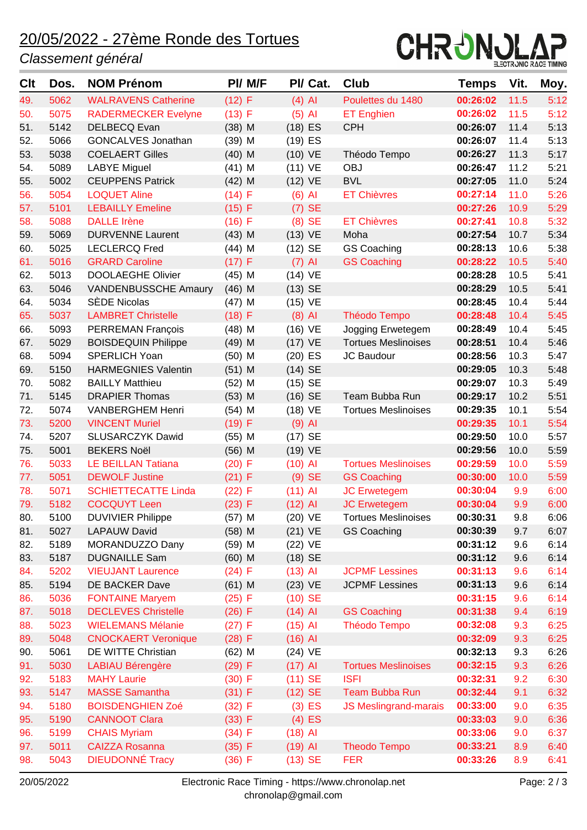# 20/05/2022 - 27ème Ronde des Tortues

#### *Classement général*



| <b>C</b> It | Dos.         | <b>NOM Prénom</b>                       | PI/ M/F              | PI/ Cat.             | <b>Club</b>                  | <b>Temps</b>         | Vit.       | Moy.         |
|-------------|--------------|-----------------------------------------|----------------------|----------------------|------------------------------|----------------------|------------|--------------|
| 49.         | 5062         | <b>WALRAVENS Catherine</b>              | (12) F               | $(4)$ Al             | Poulettes du 1480            | 00:26:02             | 11.5       | 5:12         |
| 50.         | 5075         | <b>RADERMECKER Evelyne</b>              | $(13)$ F             | $(5)$ Al             | <b>ET Enghien</b>            | 00:26:02             | 11.5       | 5:12         |
| 51.         | 5142         | <b>DELBECQ Evan</b>                     | $(38)$ M             | $(18)$ ES            | <b>CPH</b>                   | 00:26:07             | 11.4       | 5:13         |
| 52.         | 5066         | <b>GONCALVES Jonathan</b>               | $(39)$ M             | $(19)$ ES            |                              | 00:26:07             | 11.4       | 5:13         |
| 53.         | 5038         | <b>COELAERT Gilles</b>                  | $(40)$ M             | $(10)$ VE            | Théodo Tempo                 | 00:26:27             | 11.3       | 5:17         |
| 54.         | 5089         | <b>LABYE Miguel</b>                     | $(41)$ M             | $(11)$ VE            | <b>OBJ</b>                   | 00:26:47             | 11.2       | 5:21         |
| 55.         | 5002         | <b>CEUPPENS Patrick</b>                 | $(42)$ M             | $(12)$ VE            | <b>BVL</b>                   | 00:27:05             | 11.0       | 5:24         |
| 56.         | 5054         | <b>LOQUET Aline</b>                     | (14) F               | $(6)$ Al             | <b>ET Chièvres</b>           | 00:27:14             | 11.0       | 5:26         |
| 57.         | 5101         | <b>LEBAILLY Emeline</b>                 | (15) F               | $(7)$ SE             |                              | 00:27:26             | 10.9       | 5:29         |
| 58.         | 5088         | <b>DALLE Irène</b>                      | $(16)$ F             | $(8)$ SE             | <b>ET Chièvres</b>           | 00:27:41             | 10.8       | 5:32         |
| 59.         | 5069         | <b>DURVENNE Laurent</b>                 | $(43)$ M             | $(13)$ VE            | Moha                         | 00:27:54             | 10.7       | 5:34         |
| 60.         | 5025         | <b>LECLERCQ Fred</b>                    | $(44)$ M             | $(12)$ SE            | <b>GS Coaching</b>           | 00:28:13             | 10.6       | 5:38         |
| 61.         | 5016         | <b>GRARD Caroline</b>                   | (17) F               | $(7)$ Al             | <b>GS Coaching</b>           | 00:28:22             | 10.5       | 5:40         |
| 62.         | 5013         | <b>DOOLAEGHE Olivier</b>                | $(45)$ M             | $(14)$ VE            |                              | 00:28:28             | 10.5       | 5:41         |
| 63.         | 5046         | <b>VANDENBUSSCHE Amaury</b>             | $(46)$ M             | $(13)$ SE            |                              | 00:28:29             | 10.5       | 5:41         |
| 64.         | 5034         | SÈDE Nicolas                            | $(47)$ M             | $(15)$ VE            |                              | 00:28:45             | 10.4       | 5:44         |
| 65.         | 5037         | <b>LAMBRET Christelle</b>               | (18) F               | $(8)$ Al             | <b>Théodo Tempo</b>          | 00:28:48             | 10.4       | 5:45         |
| 66.         | 5093         | <b>PERREMAN François</b>                | $(48)$ M             | $(16)$ VE            | Jogging Erwetegem            | 00:28:49             | 10.4       | 5:45         |
| 67.         | 5029         | <b>BOISDEQUIN Philippe</b>              | $(49)$ M             | $(17)$ VE            | <b>Tortues Meslinoises</b>   | 00:28:51             | 10.4       | 5:46         |
| 68.         | 5094         | <b>SPERLICH Yoan</b>                    | $(50)$ M             | $(20)$ ES            | JC Baudour                   | 00:28:56             | 10.3       | 5:47         |
| 69.         | 5150         | <b>HARMEGNIES Valentin</b>              | $(51)$ M             | $(14)$ SE            |                              | 00:29:05             | 10.3       | 5:48         |
| 70.         | 5082         | <b>BAILLY Matthieu</b>                  | $(52)$ M             | $(15)$ SE            |                              | 00:29:07             | 10.3       | 5:49         |
| 71.         | 5145         | <b>DRAPIER Thomas</b>                   | $(53)$ M             | $(16)$ SE            | Team Bubba Run               | 00:29:17             | 10.2       | 5:51         |
| 72.         | 5074         | <b>VANBERGHEM Henri</b>                 | $(54)$ M             | $(18)$ VE            | <b>Tortues Meslinoises</b>   | 00:29:35             | 10.1       | 5:54         |
| 73.         | 5200         | <b>VINCENT Muriel</b>                   | (19) F               | $(9)$ Al             |                              | 00:29:35             | 10.1       | 5:54         |
| 74.         | 5207         | <b>SLUSARCZYK Dawid</b>                 | $(55)$ M             | $(17)$ SE            |                              | 00:29:50             | 10.0       | 5:57         |
| 75.         | 5001         | <b>BEKERS Noël</b>                      | $(56)$ M             | $(19)$ VE            |                              | 00:29:56             | 10.0       | 5:59         |
| 76.         | 5033         | <b>LE BEILLAN Tatiana</b>               | $(20)$ F             | $(10)$ Al            | <b>Tortues Meslinoises</b>   | 00:29:59             | 10.0       | 5:59         |
| 77.         | 5051         | <b>DEWOLF Justine</b>                   | (21) F               | $(9)$ SE             | <b>GS Coaching</b>           | 00:30:00             | 10.0       | 5:59         |
| 78.         | 5071         | <b>SCHIETTECATTE Linda</b>              | (22) F               | $(11)$ Al            | <b>JC Erwetegem</b>          | 00:30:04<br>00:30:04 | 9.9        | 6:00         |
| 79.         | 5182         | <b>COCQUYT Leen</b>                     | (23) F               | $(12)$ Al            | <b>JC Erwetegem</b>          | 00:30:31             | 9.9<br>9.8 | 6:00         |
| 80.         | 5100         | <b>DUVIVIER Philippe</b>                | $(57)$ M             | $(20)$ VE            | <b>Tortues Meslinoises</b>   | 00:30:39             | 9.7        | 6:06         |
| 81.<br>82.  | 5027<br>5189 | <b>LAPAUW David</b>                     | $(58)$ M<br>$(59)$ M | $(21)$ VE            | <b>GS Coaching</b>           | 00:31:12             | 9.6        | 6:07<br>6:14 |
| 83.         | 5187         | MORANDUZZO Dany<br><b>DUGNAILLE Sam</b> | $(60)$ M             | (22) VE<br>$(18)$ SE |                              | 00:31:12             | 9.6        | 6:14         |
| 84.         | 5202         | <b>VIEUJANT Laurence</b>                | (24) F               | $(13)$ Al            | <b>JCPMF Lessines</b>        | 00:31:13             | 9.6        | 6:14         |
| 85.         | 5194         | DE BACKER Dave                          | $(61)$ M             | $(23)$ VE            | <b>JCPMF Lessines</b>        | 00:31:13             | 9.6        | 6:14         |
| 86.         | 5036         | <b>FONTAINE Maryem</b>                  | (25) F               | $(10)$ SE            |                              | 00:31:15             | 9.6        | 6:14         |
| 87.         | 5018         | <b>DECLEVES Christelle</b>              | $(26)$ F             | $(14)$ Al            | <b>GS Coaching</b>           | 00:31:38             | 9.4        | 6:19         |
| 88.         | 5023         | <b>WIELEMANS Mélanie</b>                | (27) F               | $(15)$ Al            | Théodo Tempo                 | 00:32:08             | 9.3        | 6:25         |
| 89.         | 5048         | <b>CNOCKAERT Veronique</b>              | (28) F               | $(16)$ Al            |                              | 00:32:09             | 9.3        | 6:25         |
| 90.         | 5061         | DE WITTE Christian                      | $(62)$ M             | $(24)$ VE            |                              | 00:32:13             | 9.3        | 6:26         |
| 91.         | 5030         | <b>LABIAU Bérengère</b>                 | (29) F               | $(17)$ Al            | <b>Tortues Meslinoises</b>   | 00:32:15             | 9.3        | 6:26         |
| 92.         | 5183         | <b>MAHY Laurie</b>                      | $(30)$ F             | $(11)$ SE            | <b>ISFI</b>                  | 00:32:31             | 9.2        | 6:30         |
| 93.         | 5147         | <b>MASSE Samantha</b>                   | (31) F               | $(12)$ SE            | <b>Team Bubba Run</b>        | 00:32:44             | 9.1        | 6:32         |
| 94.         | 5180         | <b>BOISDENGHIEN Zoé</b>                 | (32) F               | $(3)$ ES             | <b>JS Meslingrand-marais</b> | 00:33:00             | 9.0        | 6:35         |
| 95.         | 5190         | <b>CANNOOT Clara</b>                    | (33) F               | $(4)$ ES             |                              | 00:33:03             | 9.0        | 6:36         |
| 96.         | 5199         | <b>CHAIS Myriam</b>                     | (34) F               | $(18)$ Al            |                              | 00:33:06             | 9.0        | 6:37         |
| 97.         | 5011         | <b>CAIZZA Rosanna</b>                   | (35) F               | $(19)$ Al            | <b>Theodo Tempo</b>          | 00:33:21             | 8.9        | 6:40         |
| 98.         | 5043         | <b>DIEUDONNÉ Tracy</b>                  | (36) F               | $(13)$ SE            | <b>FER</b>                   | 00:33:26             | 8.9        | 6:41         |
|             |              |                                         |                      |                      |                              |                      |            |              |